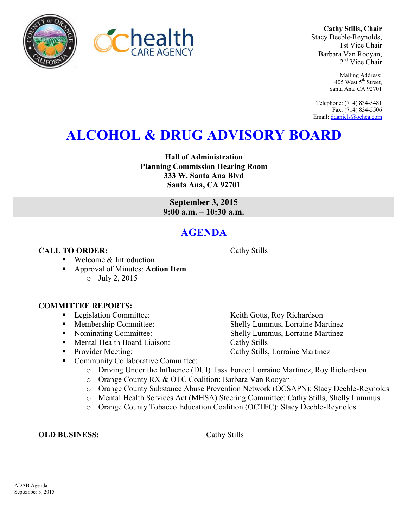**Cathy Stills, Chair** Stacy Deeble-Reynolds, 1st Vice Chair Barbara Van Rooyan, 2<sup>nd</sup> Vice Chair

> Mailing Address: 405 West 5<sup>th</sup> Street, Santa Ana, CA 92701

Telephone: (714) 834-5481 Fax: (714) 834-5506 Email[: ddaniels@ochca.com](mailto:ddaniels@ochca.com)

# **ALCOHOL & DRUG ADVISORY BOARD**

**Hall of Administration Planning Commission Hearing Room 333 W. Santa Ana Blvd Santa Ana, CA 92701** 

> **September 3, 2015 9:00 a.m. – 10:30 a.m.**

## **AGENDA**

### **CALL TO ORDER:** Cathy Stills

■ Welcome & Introduction

 Approval of Minutes: **Action Item** o July 2, 2015

### **COMMITTEE REPORTS:**

- Legislation Committee: Keith Gotts, Roy Richardson
- Membership Committee: Shelly Lummus, Lorraine Martinez
- Nominating Committee: Shelly Lummus, Lorraine Martinez
- Mental Health Board Liaison: Cathy Stills
- Provider Meeting: Cathy Stills, Lorraine Martinez
- Community Collaborative Committee:
	- o Driving Under the Influence (DUI) Task Force: Lorraine Martinez, Roy Richardson
	- o Orange County RX & OTC Coalition: Barbara Van Rooyan
	- o Orange County Substance Abuse Prevention Network (OCSAPN): Stacy Deeble-Reynolds
	- o Mental Health Services Act (MHSA) Steering Committee: Cathy Stills, Shelly Lummus
	- o Orange County Tobacco Education Coalition (OCTEC): Stacy Deeble-Reynolds

**OLD BUSINESS:** Cathy Stills